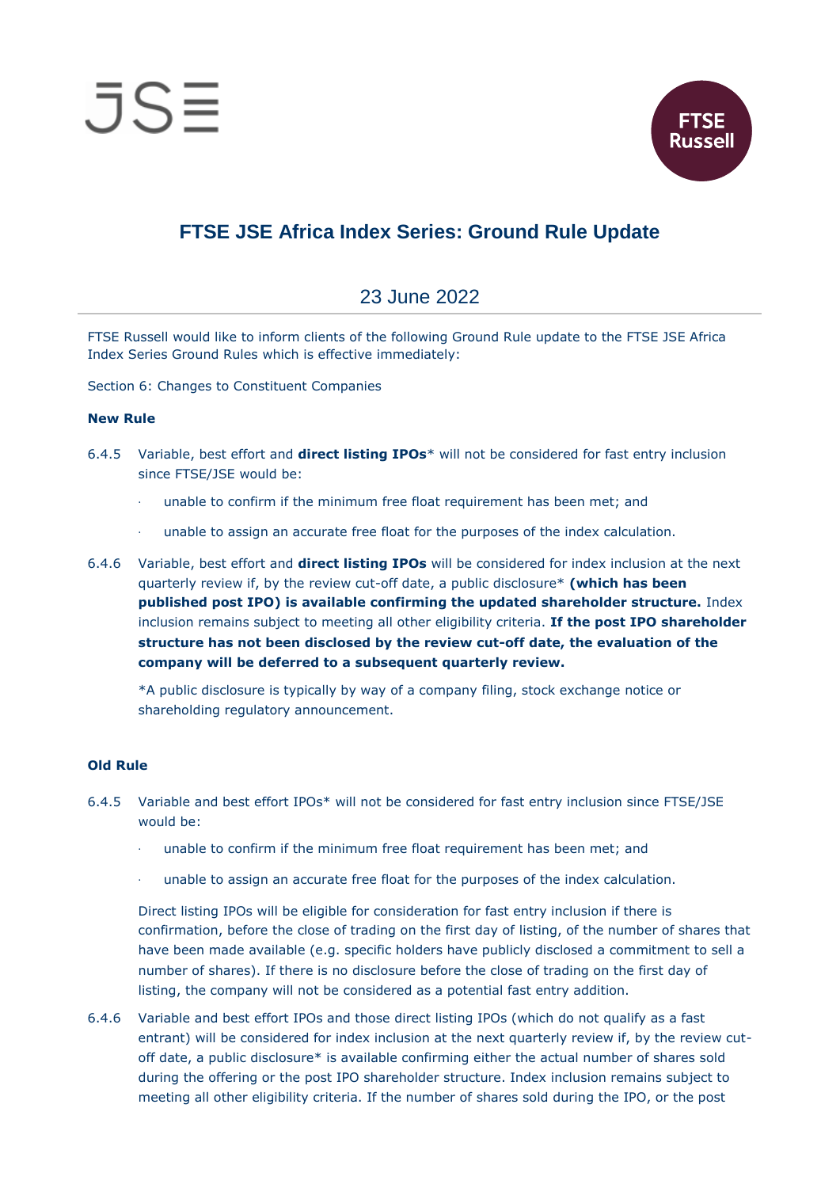



## **FTSE JSE Africa Index Series: Ground Rule Update**

## 23 June 2022

FTSE Russell would like to inform clients of the following Ground Rule update to the FTSE JSE Africa Index Series Ground Rules which is effective immediately:

Section 6: Changes to Constituent Companies

## **New Rule**

- 6.4.5 Variable, best effort and **direct listing IPOs**\* will not be considered for fast entry inclusion since FTSE/JSE would be:
	- unable to confirm if the minimum free float requirement has been met; and
	- unable to assign an accurate free float for the purposes of the index calculation.
- 6.4.6 Variable, best effort and **direct listing IPOs** will be considered for index inclusion at the next quarterly review if, by the review cut-off date, a public disclosure\* **(which has been published post IPO) is available confirming the updated shareholder structure.** Index inclusion remains subject to meeting all other eligibility criteria. **If the post IPO shareholder structure has not been disclosed by the review cut-off date, the evaluation of the company will be deferred to a subsequent quarterly review.**

\*A public disclosure is typically by way of a company filing, stock exchange notice or shareholding regulatory announcement.

## **Old Rule**

- 6.4.5 Variable and best effort IPOs\* will not be considered for fast entry inclusion since FTSE/JSE would be:
	- unable to confirm if the minimum free float requirement has been met; and
	- · unable to assign an accurate free float for the purposes of the index calculation.

Direct listing IPOs will be eligible for consideration for fast entry inclusion if there is confirmation, before the close of trading on the first day of listing, of the number of shares that have been made available (e.g. specific holders have publicly disclosed a commitment to sell a number of shares). If there is no disclosure before the close of trading on the first day of listing, the company will not be considered as a potential fast entry addition.

6.4.6 Variable and best effort IPOs and those direct listing IPOs (which do not qualify as a fast entrant) will be considered for index inclusion at the next quarterly review if, by the review cutoff date, a public disclosure\* is available confirming either the actual number of shares sold during the offering or the post IPO shareholder structure. Index inclusion remains subject to meeting all other eligibility criteria. If the number of shares sold during the IPO, or the post